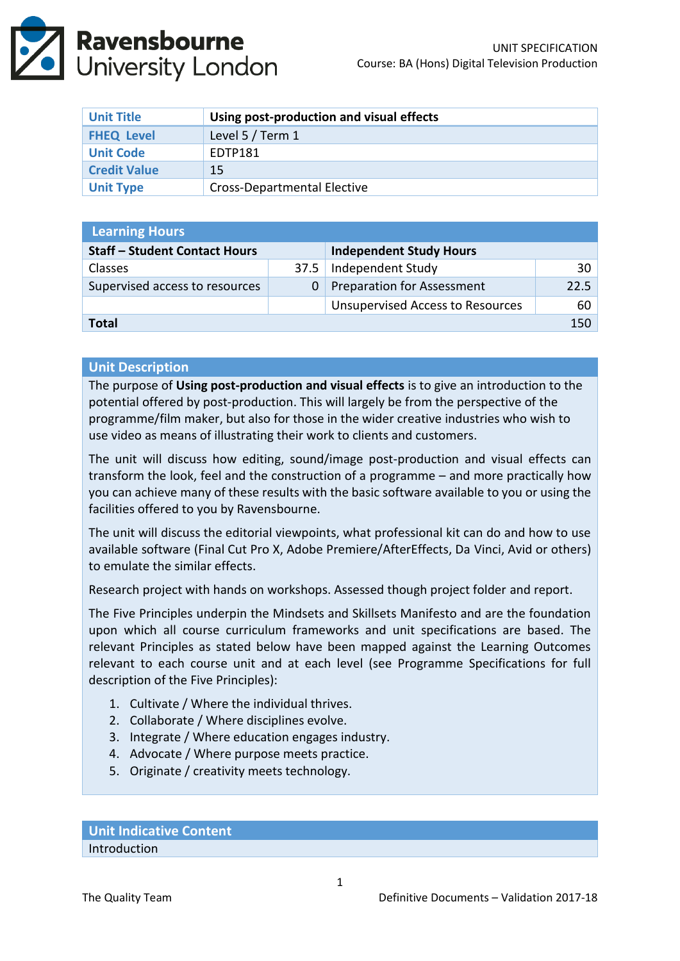

| <b>Unit Title</b>   | Using post-production and visual effects |  |
|---------------------|------------------------------------------|--|
| <b>FHEQ Level</b>   | Level 5 / Term 1                         |  |
| <b>Unit Code</b>    | EDTP181                                  |  |
| <b>Credit Value</b> | 15                                       |  |
| <b>Unit Type</b>    | Cross-Departmental Elective              |  |

| <b>Learning Hours</b>                |      |                                         |                 |  |  |  |
|--------------------------------------|------|-----------------------------------------|-----------------|--|--|--|
| <b>Staff - Student Contact Hours</b> |      | <b>Independent Study Hours</b>          |                 |  |  |  |
| <b>Classes</b>                       | 37.5 | Independent Study                       | 30 <sup>1</sup> |  |  |  |
| Supervised access to resources       |      | <b>Preparation for Assessment</b>       | 22.5            |  |  |  |
|                                      |      | <b>Unsupervised Access to Resources</b> | 60              |  |  |  |
| Total                                |      |                                         | 150             |  |  |  |

### **Unit Description**

The purpose of **Using post-production and visual effects** is to give an introduction to the potential offered by post-production. This will largely be from the perspective of the programme/film maker, but also for those in the wider creative industries who wish to use video as means of illustrating their work to clients and customers.

The unit will discuss how editing, sound/image post-production and visual effects can transform the look, feel and the construction of a programme – and more practically how you can achieve many of these results with the basic software available to you or using the facilities offered to you by Ravensbourne.

The unit will discuss the editorial viewpoints, what professional kit can do and how to use available software (Final Cut Pro X, Adobe Premiere/AfterEffects, Da Vinci, Avid or others) to emulate the similar effects.

Research project with hands on workshops. Assessed though project folder and report.

The Five Principles underpin the Mindsets and Skillsets Manifesto and are the foundation upon which all course curriculum frameworks and unit specifications are based. The relevant Principles as stated below have been mapped against the Learning Outcomes relevant to each course unit and at each level (see Programme Specifications for full description of the Five Principles):

- 1. Cultivate / Where the individual thrives.
- 2. Collaborate / Where disciplines evolve.
- 3. Integrate / Where education engages industry.
- 4. Advocate / Where purpose meets practice.
- 5. Originate / creativity meets technology.

**Unit Indicative Content** Introduction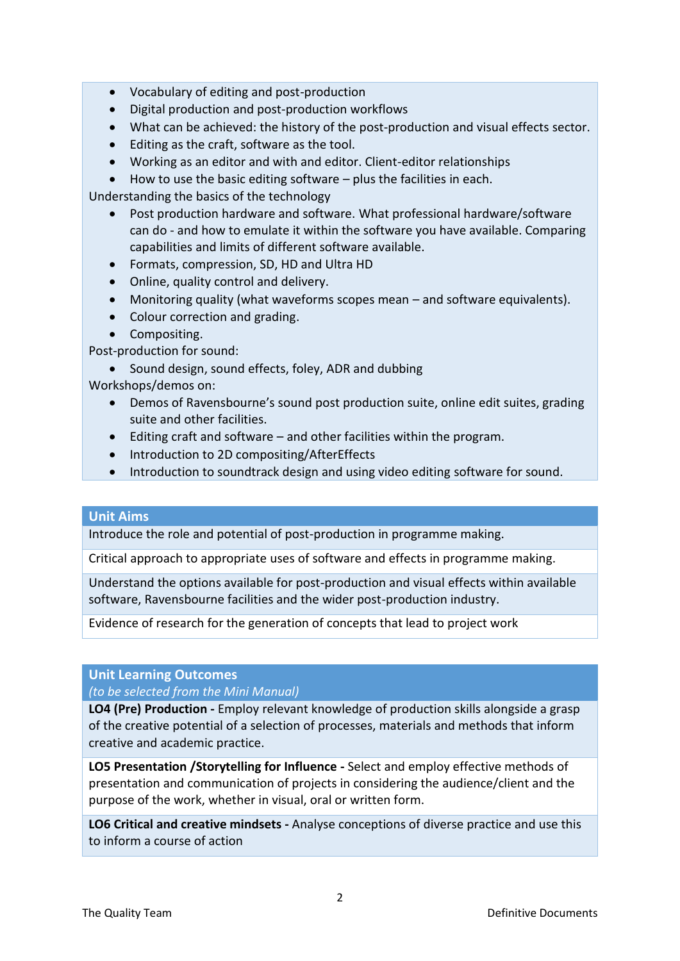- Vocabulary of editing and post-production
- Digital production and post-production workflows
- What can be achieved: the history of the post-production and visual effects sector.
- Editing as the craft, software as the tool.
- Working as an editor and with and editor. Client-editor relationships
- $\bullet$  How to use the basic editing software plus the facilities in each.

Understanding the basics of the technology

- Post production hardware and software. What professional hardware/software can do - and how to emulate it within the software you have available. Comparing capabilities and limits of different software available.
- Formats, compression, SD, HD and Ultra HD
- Online, quality control and delivery.
- Monitoring quality (what waveforms scopes mean and software equivalents).
- Colour correction and grading.
- Compositing.

Post-production for sound:

• Sound design, sound effects, foley, ADR and dubbing

Workshops/demos on:

- Demos of Ravensbourne's sound post production suite, online edit suites, grading suite and other facilities.
- Editing craft and software and other facilities within the program.
- Introduction to 2D compositing/AfterEffects
- Introduction to soundtrack design and using video editing software for sound.

## **Unit Aims**

Introduce the role and potential of post-production in programme making.

Critical approach to appropriate uses of software and effects in programme making.

Understand the options available for post-production and visual effects within available software, Ravensbourne facilities and the wider post-production industry.

Evidence of research for the generation of concepts that lead to project work

# **Unit Learning Outcomes**

*(to be selected from the Mini Manual)*

**LO4 (Pre) Production -** Employ relevant knowledge of production skills alongside a grasp of the creative potential of a selection of processes, materials and methods that inform creative and academic practice.

**LO5 Presentation /Storytelling for Influence -** Select and employ effective methods of presentation and communication of projects in considering the audience/client and the purpose of the work, whether in visual, oral or written form.

**LO6 Critical and creative mindsets -** Analyse conceptions of diverse practice and use this to inform a course of action